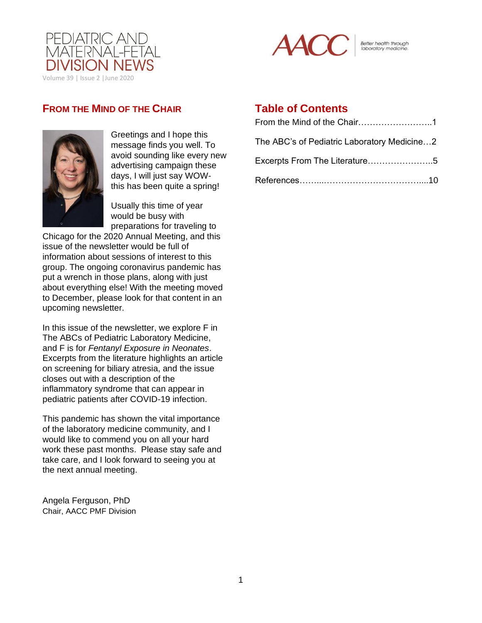



Better health through<br>laboratory medicine.

# **FROM THE MIND OF THE CHAIR**



Greetings and I hope this message finds you well. To avoid sounding like every new advertising campaign these days, I will just say WOWthis has been quite a spring!

Usually this time of year would be busy with preparations for traveling to

Chicago for the 2020 Annual Meeting, and this issue of the newsletter would be full of information about sessions of interest to this group. The ongoing coronavirus pandemic has put a wrench in those plans, along with just about everything else! With the meeting moved to December, please look for that content in an upcoming newsletter.

In this issue of the newsletter, we explore F in The ABCs of Pediatric Laboratory Medicine, and F is for *Fentanyl Exposure in Neonates*. Excerpts from the literature highlights an article on screening for biliary atresia, and the issue closes out with a description of the inflammatory syndrome that can appear in pediatric patients after COVID-19 infection.

This pandemic has shown the vital importance of the laboratory medicine community, and I would like to commend you on all your hard work these past months. Please stay safe and take care, and I look forward to seeing you at the next annual meeting.

Angela Ferguson, PhD Chair, AACC PMF Division

# **Table of Contents**

| The ABC's of Pediatric Laboratory Medicine2 |
|---------------------------------------------|
| Excerpts From The Literature5               |
|                                             |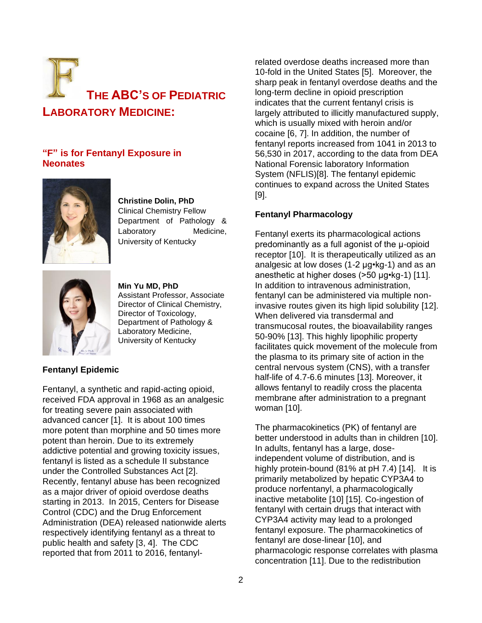

## **"F" is for Fentanyl Exposure in Neonates**



**Christine Dolin, PhD** Clinical Chemistry Fellow Department of Pathology & Laboratory Medicine, University of Kentucky



**Min Yu MD, PhD** Assistant Professor, Associate Director of Clinical Chemistry, Director of Toxicology, Department of Pathology & Laboratory Medicine, University of Kentucky

## **Fentanyl Epidemic**

Fentanyl, a synthetic and rapid-acting opioid, received FDA approval in 1968 as an analgesic for treating severe pain associated with advanced cancer [1]. It is about 100 times more potent than morphine and 50 times more potent than heroin. Due to its extremely addictive potential and growing toxicity issues, fentanyl is listed as a schedule II substance under the Controlled Substances Act [2]. Recently, fentanyl abuse has been recognized as a major driver of opioid overdose deaths starting in 2013. In 2015, Centers for Disease Control (CDC) and the Drug Enforcement Administration (DEA) released nationwide alerts respectively identifying fentanyl as a threat to public health and safety [3, 4]. The CDC reported that from 2011 to 2016, fentanyl-

related overdose deaths increased more than 10-fold in the United States [5]. Moreover, the sharp peak in fentanyl overdose deaths and the long-term decline in opioid prescription indicates that the current fentanyl crisis is largely attributed to illicitly manufactured supply, which is usually mixed with heroin and/or cocaine [6, 7]. In addition, the number of fentanyl reports increased from 1041 in 2013 to 56,530 in 2017, according to the data from DEA National Forensic laboratory Information System (NFLIS)[8]. The fentanyl epidemic continues to expand across the United States [9].

## **Fentanyl Pharmacology**

Fentanyl exerts its pharmacological actions predominantly as a full agonist of the μ-opioid receptor [10]. It is therapeutically utilized as an analgesic at low doses (1-2 µg•kg-1) and as an anesthetic at higher doses (>50 µg•kg-1) [11]. In addition to intravenous administration, fentanyl can be administered via multiple noninvasive routes given its high lipid solubility [12]. When delivered via transdermal and transmucosal routes, the bioavailability ranges 50-90% [13]. This highly lipophilic property facilitates quick movement of the molecule from the plasma to its primary site of action in the central nervous system (CNS), with a transfer half-life of 4.7-6.6 minutes [13]. Moreover, it allows fentanyl to readily cross the placenta membrane after administration to a pregnant woman [10].

The pharmacokinetics (PK) of fentanyl are better understood in adults than in children [10]. In adults, fentanyl has a large, doseindependent volume of distribution, and is highly protein-bound (81% at pH 7.4) [14]. It is primarily metabolized by hepatic CYP3A4 to produce norfentanyl, a pharmacologically inactive metabolite [10] [15]. Co-ingestion of fentanyl with certain drugs that interact with CYP3A4 activity may lead to a prolonged fentanyl exposure. The pharmacokinetics of fentanyl are dose-linear [10], and pharmacologic response correlates with plasma concentration [11]. Due to the redistribution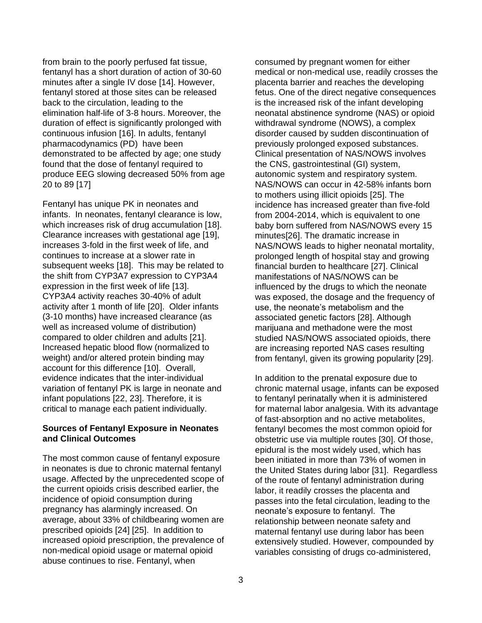from brain to the poorly perfused fat tissue, fentanyl has a short duration of action of 30-60 minutes after a single IV dose [14]. However, fentanyl stored at those sites can be released back to the circulation, leading to the elimination half-life of 3-8 hours. Moreover, the duration of effect is significantly prolonged with continuous infusion [16]. In adults, fentanyl pharmacodynamics (PD) have been demonstrated to be affected by age; one study found that the dose of fentanyl required to produce EEG slowing decreased 50% from age 20 to 89 [17]

Fentanyl has unique PK in neonates and infants. In neonates, fentanyl clearance is low, which increases risk of drug accumulation [18]. Clearance increases with gestational age [19], increases 3-fold in the first week of life, and continues to increase at a slower rate in subsequent weeks [18]. This may be related to the shift from CYP3A7 expression to CYP3A4 expression in the first week of life [13]. CYP3A4 activity reaches 30-40% of adult activity after 1 month of life [20]. Older infants (3-10 months) have increased clearance (as well as increased volume of distribution) compared to older children and adults [21]. Increased hepatic blood flow (normalized to weight) and/or altered protein binding may account for this difference [10]. Overall, evidence indicates that the inter-individual variation of fentanyl PK is large in neonate and infant populations [22, 23]. Therefore, it is critical to manage each patient individually.

### **Sources of Fentanyl Exposure in Neonates and Clinical Outcomes**

The most common cause of fentanyl exposure in neonates is due to chronic maternal fentanyl usage. Affected by the unprecedented scope of the current opioids crisis described earlier, the incidence of opioid consumption during pregnancy has alarmingly increased. On average, about 33% of childbearing women are prescribed opioids [24] [25]. In addition to increased opioid prescription, the prevalence of non-medical opioid usage or maternal opioid abuse continues to rise. Fentanyl, when

consumed by pregnant women for either medical or non-medical use, readily crosses the placenta barrier and reaches the developing fetus. One of the direct negative consequences is the increased risk of the infant developing neonatal abstinence syndrome (NAS) or opioid withdrawal syndrome (NOWS), a complex disorder caused by sudden discontinuation of previously prolonged exposed substances. Clinical presentation of NAS/NOWS involves the CNS, gastrointestinal (GI) system, autonomic system and respiratory system. NAS/NOWS can occur in 42-58% infants born to mothers using illicit opioids [25]. The incidence has increased greater than five-fold from 2004-2014, which is equivalent to one baby born suffered from NAS/NOWS every 15 minutes[26]. The dramatic increase in NAS/NOWS leads to higher neonatal mortality, prolonged length of hospital stay and growing financial burden to healthcare [27]. Clinical manifestations of NAS/NOWS can be influenced by the drugs to which the neonate was exposed, the dosage and the frequency of use, the neonate's metabolism and the associated genetic factors [28]. Although marijuana and methadone were the most studied NAS/NOWS associated opioids, there are increasing reported NAS cases resulting from fentanyl, given its growing popularity [29].

In addition to the prenatal exposure due to chronic maternal usage, infants can be exposed to fentanyl perinatally when it is administered for maternal labor analgesia. With its advantage of fast-absorption and no active metabolites, fentanyl becomes the most common opioid for obstetric use via multiple routes [30]. Of those, epidural is the most widely used, which has been initiated in more than 73% of women in the United States during labor [31]. Regardless of the route of fentanyl administration during labor, it readily crosses the placenta and passes into the fetal circulation, leading to the neonate's exposure to fentanyl. The relationship between neonate safety and maternal fentanyl use during labor has been extensively studied. However, compounded by variables consisting of drugs co-administered,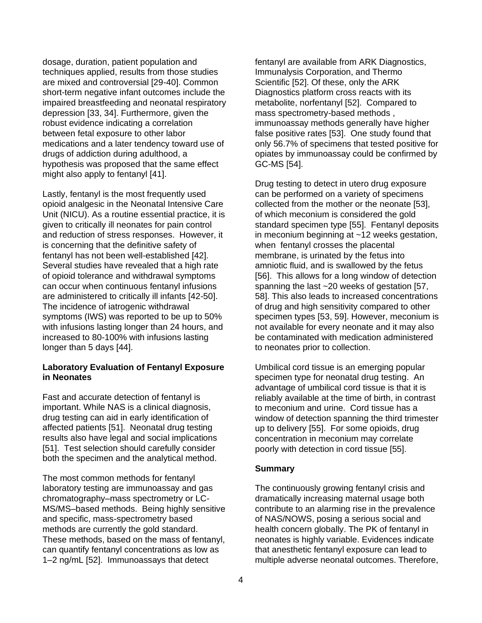dosage, duration, patient population and techniques applied, results from those studies are mixed and controversial [29-40]. Common short-term negative infant outcomes include the impaired breastfeeding and neonatal respiratory depression [33, 34]. Furthermore, given the robust evidence indicating a correlation between fetal exposure to other labor medications and a later tendency toward use of drugs of addiction during adulthood, a hypothesis was proposed that the same effect might also apply to fentanyl [41].

Lastly, fentanyl is the most frequently used opioid analgesic in the Neonatal Intensive Care Unit (NICU). As a routine essential practice, it is given to critically ill neonates for pain control and reduction of stress responses. However, it is concerning that the definitive safety of fentanyl has not been well-established [42]. Several studies have revealed that a high rate of opioid tolerance and withdrawal symptoms can occur when continuous fentanyl infusions are administered to critically ill infants [42-50]. The incidence of iatrogenic withdrawal symptoms (IWS) was reported to be up to 50% with infusions lasting longer than 24 hours, and increased to 80-100% with infusions lasting longer than 5 days [44].

### **Laboratory Evaluation of Fentanyl Exposure in Neonates**

Fast and accurate detection of fentanyl is important. While NAS is a clinical diagnosis, drug testing can aid in early identification of affected patients [51]. Neonatal drug testing results also have legal and social implications [51]. Test selection should carefully consider both the specimen and the analytical method.

The most common methods for fentanyl laboratory testing are immunoassay and gas chromatography–mass spectrometry or LC-MS/MS–based methods. Being highly sensitive and specific, mass-spectrometry based methods are currently the gold standard. These methods, based on the mass of fentanyl, can quantify fentanyl concentrations as low as 1–2 ng/mL [52]. Immunoassays that detect

fentanyl are available from ARK Diagnostics, Immunalysis Corporation, and Thermo Scientific [52]. Of these, only the ARK Diagnostics platform cross reacts with its metabolite, norfentanyl [52]. Compared to mass spectrometry-based methods , immunoassay methods generally have higher false positive rates [53]. One study found that only 56.7% of specimens that tested positive for opiates by immunoassay could be confirmed by GC-MS [54].

Drug testing to detect in utero drug exposure can be performed on a variety of specimens collected from the mother or the neonate [53], of which meconium is considered the gold standard specimen type [55]. Fentanyl deposits in meconium beginning at ~12 weeks gestation, when fentanyl crosses the placental membrane, is urinated by the fetus into amniotic fluid, and is swallowed by the fetus [56]. This allows for a long window of detection spanning the last ~20 weeks of gestation [57, 58]. This also leads to increased concentrations of drug and high sensitivity compared to other specimen types [53, 59]. However, meconium is not available for every neonate and it may also be contaminated with medication administered to neonates prior to collection.

Umbilical cord tissue is an emerging popular specimen type for neonatal drug testing. An advantage of umbilical cord tissue is that it is reliably available at the time of birth, in contrast to meconium and urine. Cord tissue has a window of detection spanning the third trimester up to delivery [55]. For some opioids, drug concentration in meconium may correlate poorly with detection in cord tissue [55].

### **Summary**

The continuously growing fentanyl crisis and dramatically increasing maternal usage both contribute to an alarming rise in the prevalence of NAS/NOWS, posing a serious social and health concern globally. The PK of fentanyl in neonates is highly variable. Evidences indicate that anesthetic fentanyl exposure can lead to multiple adverse neonatal outcomes. Therefore,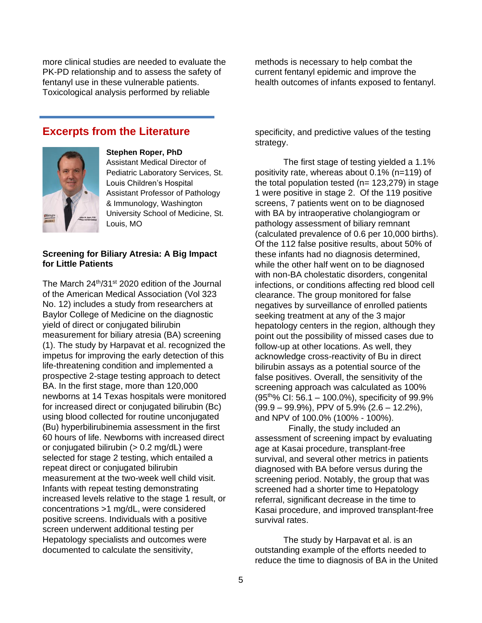more clinical studies are needed to evaluate the PK-PD relationship and to assess the safety of fentanyl use in these vulnerable patients. Toxicological analysis performed by reliable

methods is necessary to help combat the current fentanyl epidemic and improve the health outcomes of infants exposed to fentanyl.

# **Excerpts from the Literature**



#### **Stephen Roper, PhD**

Assistant Medical Director of Pediatric Laboratory Services, St. Louis Children's Hospital Assistant Professor of Pathology & Immunology, Washington University School of Medicine, St. Louis, MO

### **Screening for Biliary Atresia: A Big Impact for Little Patients**

The March 24<sup>th</sup>/31<sup>st</sup> 2020 edition of the Journal of the American Medical Association (Vol 323 No. 12) includes a study from researchers at Baylor College of Medicine on the diagnostic yield of direct or conjugated bilirubin measurement for biliary atresia (BA) screening (1). The study by Harpavat et al. recognized the impetus for improving the early detection of this life-threatening condition and implemented a prospective 2-stage testing approach to detect BA. In the first stage, more than 120,000 newborns at 14 Texas hospitals were monitored for increased direct or conjugated bilirubin (Bc) using blood collected for routine unconjugated (Bu) hyperbilirubinemia assessment in the first 60 hours of life. Newborns with increased direct or conjugated bilirubin  $(> 0.2$  mg/dL) were selected for stage 2 testing, which entailed a repeat direct or conjugated bilirubin measurement at the two-week well child visit. Infants with repeat testing demonstrating increased levels relative to the stage 1 result, or concentrations >1 mg/dL, were considered positive screens. Individuals with a positive screen underwent additional testing per Hepatology specialists and outcomes were documented to calculate the sensitivity,

specificity, and predictive values of the testing strategy.

The first stage of testing yielded a 1.1% positivity rate, whereas about 0.1% (n=119) of the total population tested  $(n= 123.279)$  in stage 1 were positive in stage 2. Of the 119 positive screens, 7 patients went on to be diagnosed with BA by intraoperative cholangiogram or pathology assessment of biliary remnant (calculated prevalence of 0.6 per 10,000 births). Of the 112 false positive results, about 50% of these infants had no diagnosis determined, while the other half went on to be diagnosed with non-BA cholestatic disorders, congenital infections, or conditions affecting red blood cell clearance. The group monitored for false negatives by surveillance of enrolled patients seeking treatment at any of the 3 major hepatology centers in the region, although they point out the possibility of missed cases due to follow-up at other locations. As well, they acknowledge cross-reactivity of Bu in direct bilirubin assays as a potential source of the false positives. Overall, the sensitivity of the screening approach was calculated as 100%  $(95<sup>th</sup>% CI: 56.1 – 100.0%)$ , specificity of 99.9% (99.9 – 99.9%), PPV of 5.9% (2.6 – 12.2%), and NPV of 100.0% (100% - 100%).

 Finally, the study included an assessment of screening impact by evaluating age at Kasai procedure, transplant-free survival, and several other metrics in patients diagnosed with BA before versus during the screening period. Notably, the group that was screened had a shorter time to Hepatology referral, significant decrease in the time to Kasai procedure, and improved transplant-free survival rates.

The study by Harpavat et al. is an outstanding example of the efforts needed to reduce the time to diagnosis of BA in the United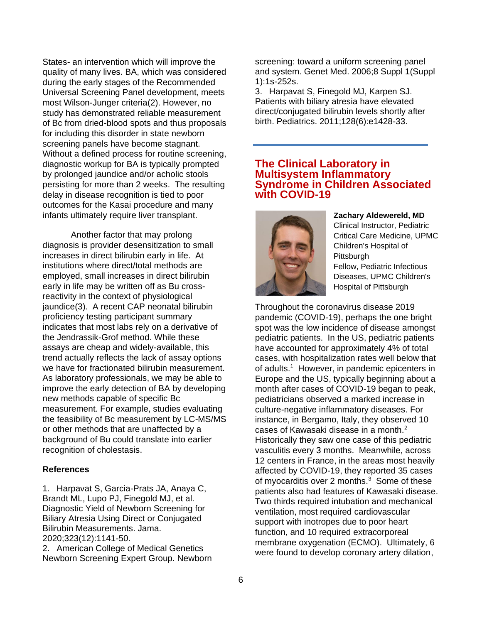States- an intervention which will improve the quality of many lives. BA, which was considered during the early stages of the Recommended Universal Screening Panel development, meets most Wilson-Junger criteria(2). However, no study has demonstrated reliable measurement of Bc from dried-blood spots and thus proposals for including this disorder in state newborn screening panels have become stagnant. Without a defined process for routine screening, diagnostic workup for BA is typically prompted by prolonged jaundice and/or acholic stools persisting for more than 2 weeks. The resulting delay in disease recognition is tied to poor outcomes for the Kasai procedure and many infants ultimately require liver transplant.

Another factor that may prolong diagnosis is provider desensitization to small increases in direct bilirubin early in life. At institutions where direct/total methods are employed, small increases in direct bilirubin early in life may be written off as Bu crossreactivity in the context of physiological jaundice(3). A recent CAP neonatal bilirubin proficiency testing participant summary indicates that most labs rely on a derivative of the Jendrassik-Grof method. While these assays are cheap and widely-available, this trend actually reflects the lack of assay options we have for fractionated bilirubin measurement. As laboratory professionals, we may be able to improve the early detection of BA by developing new methods capable of specific Bc measurement. For example, studies evaluating the feasibility of Bc measurement by LC-MS/MS or other methods that are unaffected by a background of Bu could translate into earlier recognition of cholestasis.

### **References**

1. Harpavat S, Garcia-Prats JA, Anaya C, Brandt ML, Lupo PJ, Finegold MJ, et al. Diagnostic Yield of Newborn Screening for Biliary Atresia Using Direct or Conjugated Bilirubin Measurements. Jama. 2020;323(12):1141-50.

2. American College of Medical Genetics Newborn Screening Expert Group. Newborn screening: toward a uniform screening panel and system. Genet Med. 2006;8 Suppl 1(Suppl 1):1s-252s.

3. Harpavat S, Finegold MJ, Karpen SJ. Patients with biliary atresia have elevated direct/conjugated bilirubin levels shortly after birth. Pediatrics. 2011;128(6):e1428-33.

## **The Clinical Laboratory in Multisystem Inflammatory Syndrome in Children Associated with COVID-19**



**Zachary Aldewereld, MD** Clinical Instructor, Pediatric Critical Care Medicine, UPMC Children's Hospital of Pittsburgh Fellow, Pediatric Infectious Diseases, UPMC Children's

Hospital of Pittsburgh

Throughout the coronavirus disease 2019 pandemic (COVID-19), perhaps the one bright spot was the low incidence of disease amongst pediatric patients. In the US, pediatric patients have accounted for approximately 4% of total cases, with hospitalization rates well below that of adults.<sup>1</sup> However, in pandemic epicenters in Europe and the US, typically beginning about a month after cases of COVID-19 began to peak, pediatricians observed a marked increase in culture-negative inflammatory diseases. For instance, in Bergamo, Italy, they observed 10 cases of Kawasaki disease in a month. $2$ Historically they saw one case of this pediatric vasculitis every 3 months. Meanwhile, across 12 centers in France, in the areas most heavily affected by COVID-19, they reported 35 cases of myocarditis over 2 months. $3$  Some of these patients also had features of Kawasaki disease. Two thirds required intubation and mechanical ventilation, most required cardiovascular support with inotropes due to poor heart function, and 10 required extracorporeal membrane oxygenation (ECMO). Ultimately, 6 were found to develop coronary artery dilation,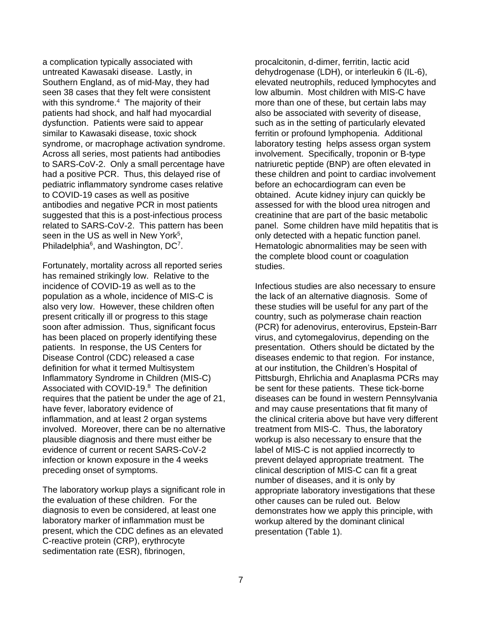a complication typically associated with untreated Kawasaki disease. Lastly, in Southern England, as of mid-May, they had seen 38 cases that they felt were consistent with this syndrome.<sup>4</sup> The majority of their patients had shock, and half had myocardial dysfunction. Patients were said to appear similar to Kawasaki disease, toxic shock syndrome, or macrophage activation syndrome. Across all series, most patients had antibodies to SARS-CoV-2. Only a small percentage have had a positive PCR. Thus, this delayed rise of pediatric inflammatory syndrome cases relative to COVID-19 cases as well as positive antibodies and negative PCR in most patients suggested that this is a post-infectious process related to SARS-CoV-2. This pattern has been seen in the US as well in New York<sup>5</sup>, Philadelphia $6$ , and Washington, DC $<sup>7</sup>$ .</sup>

Fortunately, mortality across all reported series has remained strikingly low. Relative to the incidence of COVID-19 as well as to the population as a whole, incidence of MIS-C is also very low. However, these children often present critically ill or progress to this stage soon after admission. Thus, significant focus has been placed on properly identifying these patients. In response, the US Centers for Disease Control (CDC) released a case definition for what it termed Multisystem Inflammatory Syndrome in Children (MIS-C) Associated with COVID-19.<sup>8</sup> The definition requires that the patient be under the age of 21, have fever, laboratory evidence of inflammation, and at least 2 organ systems involved. Moreover, there can be no alternative plausible diagnosis and there must either be evidence of current or recent SARS-CoV-2 infection or known exposure in the 4 weeks preceding onset of symptoms.

The laboratory workup plays a significant role in the evaluation of these children. For the diagnosis to even be considered, at least one laboratory marker of inflammation must be present, which the CDC defines as an elevated C-reactive protein (CRP), erythrocyte sedimentation rate (ESR), fibrinogen,

procalcitonin, d-dimer, ferritin, lactic acid dehydrogenase (LDH), or interleukin 6 (IL-6), elevated neutrophils, reduced lymphocytes and low albumin. Most children with MIS-C have more than one of these, but certain labs may also be associated with severity of disease, such as in the setting of particularly elevated ferritin or profound lymphopenia. Additional laboratory testing helps assess organ system involvement. Specifically, troponin or B-type natriuretic peptide (BNP) are often elevated in these children and point to cardiac involvement before an echocardiogram can even be obtained. Acute kidney injury can quickly be assessed for with the blood urea nitrogen and creatinine that are part of the basic metabolic panel. Some children have mild hepatitis that is only detected with a hepatic function panel. Hematologic abnormalities may be seen with the complete blood count or coagulation studies.

Infectious studies are also necessary to ensure the lack of an alternative diagnosis. Some of these studies will be useful for any part of the country, such as polymerase chain reaction (PCR) for adenovirus, enterovirus, Epstein-Barr virus, and cytomegalovirus, depending on the presentation. Others should be dictated by the diseases endemic to that region. For instance, at our institution, the Children's Hospital of Pittsburgh, Ehrlichia and Anaplasma PCRs may be sent for these patients. These tick-borne diseases can be found in western Pennsylvania and may cause presentations that fit many of the clinical criteria above but have very different treatment from MIS-C. Thus, the laboratory workup is also necessary to ensure that the label of MIS-C is not applied incorrectly to prevent delayed appropriate treatment. The clinical description of MIS-C can fit a great number of diseases, and it is only by appropriate laboratory investigations that these other causes can be ruled out. Below demonstrates how we apply this principle, with workup altered by the dominant clinical presentation (Table 1).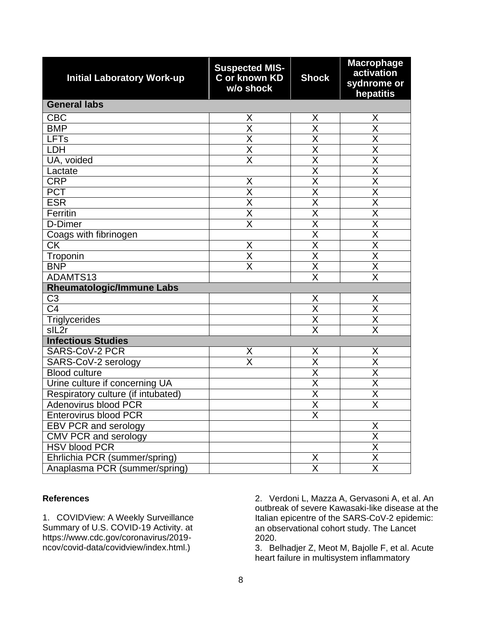| <b>Initial Laboratory Work-up</b>  | <b>Suspected MIS-</b><br>C or known KD<br>w/o shock | <b>Shock</b>                    | <b>Macrophage</b><br>activation<br>sydnrome or<br>hepatitis |  |
|------------------------------------|-----------------------------------------------------|---------------------------------|-------------------------------------------------------------|--|
| <b>General labs</b>                |                                                     |                                 |                                                             |  |
| <b>CBC</b>                         | Χ                                                   | X                               | X                                                           |  |
| <b>BMP</b>                         | $\overline{\sf x}$                                  | $\overline{\sf x}$              | $\overline{\mathsf{x}}$                                     |  |
| <b>LFTs</b>                        | $\overline{\mathsf{x}}$                             | $\overline{\sf X}$              | $\overline{\mathsf{x}}$                                     |  |
| LDH                                | $\overline{\sf x}$                                  | $\overline{\mathsf{x}}$         | $\overline{\sf x}$                                          |  |
| UA, voided                         | $\overline{\sf x}$                                  | $\overline{\sf x}$              | $\overline{\sf x}$                                          |  |
| Lactate                            |                                                     | $\overline{\mathsf{X}}$         | $\overline{\mathsf{x}}$                                     |  |
| <b>CRP</b>                         | X                                                   | $\overline{\sf x}$              | $\overline{\mathsf{x}}$                                     |  |
| <b>PCT</b>                         | $\overline{\mathsf{x}}$                             | $\overline{\mathsf{X}}$         | $\overline{\mathsf{x}}$                                     |  |
| <b>ESR</b>                         | $\overline{\sf x}$                                  | $\overline{\mathsf{x}}$         | $\overline{\mathsf{x}}$                                     |  |
| Ferritin                           | $\overline{\mathsf{X}}$                             | $\overline{\mathsf{x}}$         | $\overline{\mathsf{x}}$                                     |  |
| D-Dimer                            | $\overline{\mathsf{x}}$                             | $\overline{\sf X}$              | $\overline{\mathsf{x}}$                                     |  |
| Coags with fibrinogen              |                                                     | $\overline{\sf x}$              | $\overline{\sf x}$                                          |  |
| $\overline{\text{CK}}$             | Χ                                                   | $\overline{\mathsf{x}}$         | $\overline{\sf x}$                                          |  |
| Troponin                           | $\overline{\sf x}$                                  | $\overline{\sf x}$              | $\overline{\mathsf{x}}$                                     |  |
| <b>BNP</b>                         | $\overline{\sf x}$                                  | $\overline{\mathsf{x}}$         | $\overline{\mathsf{x}}$                                     |  |
| ADAMTS13                           |                                                     | $\overline{\mathsf{x}}$         | $\overline{\mathsf{x}}$                                     |  |
| <b>Rheumatologic/Immune Labs</b>   |                                                     |                                 |                                                             |  |
| C <sub>3</sub>                     |                                                     | $\frac{\mathsf{X}}{\mathsf{X}}$ | X                                                           |  |
| $\overline{C4}$                    |                                                     |                                 | $\overline{\mathsf{x}}$                                     |  |
| <b>Triglycerides</b>               |                                                     | $\overline{\mathsf{X}}$         | $\overline{\mathsf{x}}$                                     |  |
| sIL <sub>2r</sub>                  |                                                     | $\overline{\sf x}$              | $\overline{\sf X}$                                          |  |
| <b>Infectious Studies</b>          |                                                     |                                 |                                                             |  |
| <b>SARS-CoV-2 PCR</b>              | X                                                   | X                               | X                                                           |  |
| SARS-CoV-2 serology                | $\overline{\mathsf{x}}$                             | $\overline{\sf x}$              | $\overline{\mathsf{x}}$                                     |  |
| <b>Blood culture</b>               |                                                     | $\overline{\mathsf{x}}$         | $\overline{\sf x}$                                          |  |
| Urine culture if concerning UA     |                                                     | $\overline{\mathsf{x}}$         | $\overline{\mathsf{x}}$                                     |  |
| Respiratory culture (if intubated) |                                                     | $\overline{\mathsf{x}}$         | $\overline{\mathsf{x}}$                                     |  |
| <b>Adenovirus blood PCR</b>        |                                                     | $\overline{\sf x}$              | $\overline{\sf x}$                                          |  |
| <b>Enterovirus blood PCR</b>       |                                                     | X                               |                                                             |  |
| EBV PCR and serology               |                                                     |                                 |                                                             |  |
| CMV PCR and serology               |                                                     |                                 | $\frac{X}{X}$ $\frac{X}{X}$ $\frac{X}{X}$                   |  |
| <b>HSV blood PCR</b>               |                                                     |                                 |                                                             |  |
| Ehrlichia PCR (summer/spring)      |                                                     | $\frac{\mathsf{X}}{\mathsf{X}}$ |                                                             |  |
| Anaplasma PCR (summer/spring)      |                                                     |                                 |                                                             |  |

### **References**

1. COVIDView: A Weekly Surveillance Summary of U.S. COVID-19 Activity. at https://www.cdc.gov/coronavirus/2019 ncov/covid-data/covidview/index.html.)

2. Verdoni L, Mazza A, Gervasoni A, et al. An outbreak of severe Kawasaki-like disease at the Italian epicentre of the SARS-CoV-2 epidemic: an observational cohort study. The Lancet 2020.

3. Belhadjer Z, Meot M, Bajolle F, et al. Acute heart failure in multisystem inflammatory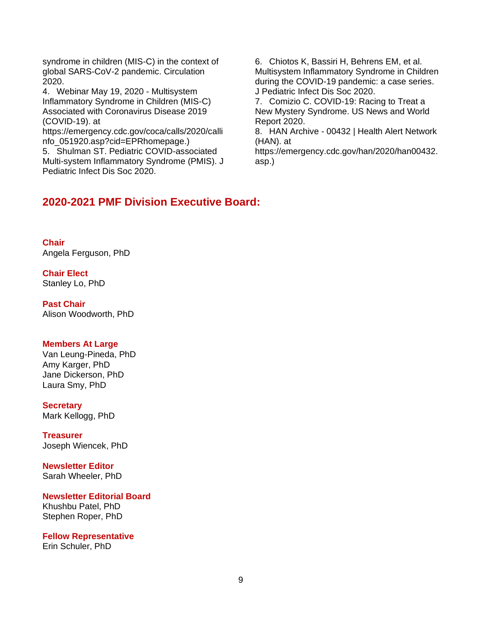syndrome in children (MIS-C) in the context of global SARS-CoV-2 pandemic. Circulation 2020.

4. Webinar May 19, 2020 - Multisystem Inflammatory Syndrome in Children (MIS-C) Associated with Coronavirus Disease 2019 (COVID-19). at

https://emergency.cdc.gov/coca/calls/2020/calli nfo\_051920.asp?cid=EPRhomepage.)

5. Shulman ST. Pediatric COVID-associated Multi-system Inflammatory Syndrome (PMIS). J Pediatric Infect Dis Soc 2020.

6. Chiotos K, Bassiri H, Behrens EM, et al. Multisystem Inflammatory Syndrome in Children during the COVID-19 pandemic: a case series. J Pediatric Infect Dis Soc 2020.

7. Comizio C. COVID-19: Racing to Treat a New Mystery Syndrome. US News and World Report 2020.

8. HAN Archive - 00432 | Health Alert Network (HAN). at

https://emergency.cdc.gov/han/2020/han00432. asp.)

# **2020-2021 PMF Division Executive Board:**

**Chair** Angela Ferguson, PhD

**Chair Elect** Stanley Lo, PhD

**Past Chair** Alison Woodworth, PhD

### **Members At Large**

Van Leung-Pineda, PhD Amy Karger, PhD Jane Dickerson, PhD Laura Smy, PhD

**Secretary** Mark Kellogg, PhD

**Treasurer** Joseph Wiencek, PhD

**Newsletter Editor** Sarah Wheeler, PhD

**Newsletter Editorial Board**

Khushbu Patel, PhD Stephen Roper, PhD

**Fellow Representative** Erin Schuler, PhD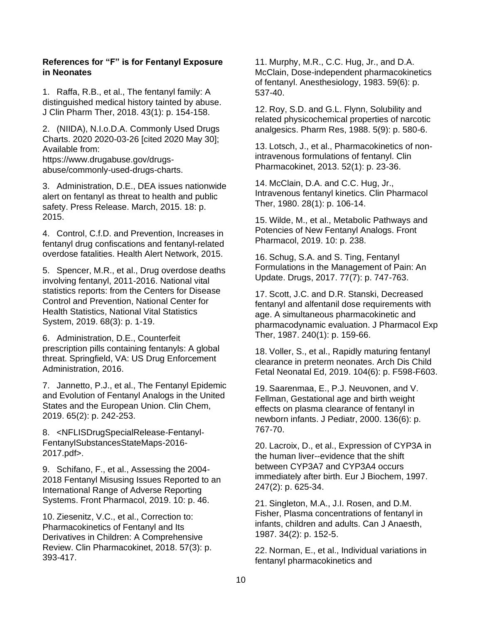### **References for "F" is for Fentanyl Exposure in Neonates**

1. Raffa, R.B., et al., The fentanyl family: A distinguished medical history tainted by abuse. J Clin Pharm Ther, 2018. 43(1): p. 154-158.

2. (NIIDA), N.I.o.D.A. Commonly Used Drugs Charts. 2020 2020-03-26 [cited 2020 May 30]; Available from:

https://www.drugabuse.gov/drugsabuse/commonly-used-drugs-charts.

3. Administration, D.E., DEA issues nationwide alert on fentanyl as threat to health and public safety. Press Release. March, 2015. 18: p. 2015.

4. Control, C.f.D. and Prevention, Increases in fentanyl drug confiscations and fentanyl-related overdose fatalities. Health Alert Network, 2015.

5. Spencer, M.R., et al., Drug overdose deaths involving fentanyl, 2011-2016. National vital statistics reports: from the Centers for Disease Control and Prevention, National Center for Health Statistics, National Vital Statistics System, 2019. 68(3): p. 1-19.

6. Administration, D.E., Counterfeit prescription pills containing fentanyls: A global threat. Springfield, VA: US Drug Enforcement Administration, 2016.

7. Jannetto, P.J., et al., The Fentanyl Epidemic and Evolution of Fentanyl Analogs in the United States and the European Union. Clin Chem, 2019. 65(2): p. 242-253.

8. <NFLISDrugSpecialRelease-Fentanyl-FentanylSubstancesStateMaps-2016- 2017.pdf>.

9. Schifano, F., et al., Assessing the 2004- 2018 Fentanyl Misusing Issues Reported to an International Range of Adverse Reporting Systems. Front Pharmacol, 2019. 10: p. 46.

10. Ziesenitz, V.C., et al., Correction to: Pharmacokinetics of Fentanyl and Its Derivatives in Children: A Comprehensive Review. Clin Pharmacokinet, 2018. 57(3): p. 393-417.

11. Murphy, M.R., C.C. Hug, Jr., and D.A. McClain, Dose-independent pharmacokinetics of fentanyl. Anesthesiology, 1983. 59(6): p. 537-40.

12. Roy, S.D. and G.L. Flynn, Solubility and related physicochemical properties of narcotic analgesics. Pharm Res, 1988. 5(9): p. 580-6.

13. Lotsch, J., et al., Pharmacokinetics of nonintravenous formulations of fentanyl. Clin Pharmacokinet, 2013. 52(1): p. 23-36.

14. McClain, D.A. and C.C. Hug, Jr., Intravenous fentanyl kinetics. Clin Pharmacol Ther, 1980. 28(1): p. 106-14.

15. Wilde, M., et al., Metabolic Pathways and Potencies of New Fentanyl Analogs. Front Pharmacol, 2019. 10: p. 238.

16. Schug, S.A. and S. Ting, Fentanyl Formulations in the Management of Pain: An Update. Drugs, 2017. 77(7): p. 747-763.

17. Scott, J.C. and D.R. Stanski, Decreased fentanyl and alfentanil dose requirements with age. A simultaneous pharmacokinetic and pharmacodynamic evaluation. J Pharmacol Exp Ther, 1987. 240(1): p. 159-66.

18. Voller, S., et al., Rapidly maturing fentanyl clearance in preterm neonates. Arch Dis Child Fetal Neonatal Ed, 2019. 104(6): p. F598-F603.

19. Saarenmaa, E., P.J. Neuvonen, and V. Fellman, Gestational age and birth weight effects on plasma clearance of fentanyl in newborn infants. J Pediatr, 2000. 136(6): p. 767-70.

20. Lacroix, D., et al., Expression of CYP3A in the human liver--evidence that the shift between CYP3A7 and CYP3A4 occurs immediately after birth. Eur J Biochem, 1997. 247(2): p. 625-34.

21. Singleton, M.A., J.I. Rosen, and D.M. Fisher, Plasma concentrations of fentanyl in infants, children and adults. Can J Anaesth, 1987. 34(2): p. 152-5.

22. Norman, E., et al., Individual variations in fentanyl pharmacokinetics and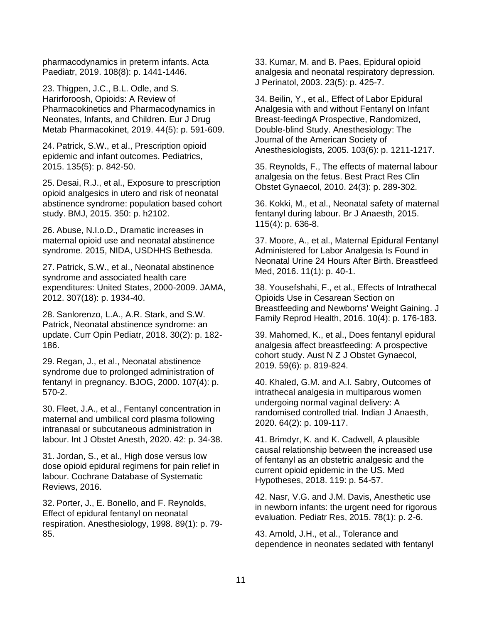pharmacodynamics in preterm infants. Acta Paediatr, 2019. 108(8): p. 1441-1446.

23. Thigpen, J.C., B.L. Odle, and S. Harirforoosh, Opioids: A Review of Pharmacokinetics and Pharmacodynamics in Neonates, Infants, and Children. Eur J Drug Metab Pharmacokinet, 2019. 44(5): p. 591-609.

24. Patrick, S.W., et al., Prescription opioid epidemic and infant outcomes. Pediatrics, 2015. 135(5): p. 842-50.

25. Desai, R.J., et al., Exposure to prescription opioid analgesics in utero and risk of neonatal abstinence syndrome: population based cohort study. BMJ, 2015. 350: p. h2102.

26. Abuse, N.I.o.D., Dramatic increases in maternal opioid use and neonatal abstinence syndrome. 2015, NIDA, USDHHS Bethesda.

27. Patrick, S.W., et al., Neonatal abstinence syndrome and associated health care expenditures: United States, 2000-2009. JAMA, 2012. 307(18): p. 1934-40.

28. Sanlorenzo, L.A., A.R. Stark, and S.W. Patrick, Neonatal abstinence syndrome: an update. Curr Opin Pediatr, 2018. 30(2): p. 182- 186.

29. Regan, J., et al., Neonatal abstinence syndrome due to prolonged administration of fentanyl in pregnancy. BJOG, 2000. 107(4): p. 570-2.

30. Fleet, J.A., et al., Fentanyl concentration in maternal and umbilical cord plasma following intranasal or subcutaneous administration in labour. Int J Obstet Anesth, 2020. 42: p. 34-38.

31. Jordan, S., et al., High dose versus low dose opioid epidural regimens for pain relief in labour. Cochrane Database of Systematic Reviews, 2016.

32. Porter, J., E. Bonello, and F. Reynolds, Effect of epidural fentanyl on neonatal respiration. Anesthesiology, 1998. 89(1): p. 79- 85.

33. Kumar, M. and B. Paes, Epidural opioid analgesia and neonatal respiratory depression. J Perinatol, 2003. 23(5): p. 425-7.

34. Beilin, Y., et al., Effect of Labor Epidural Analgesia with and without Fentanyl on Infant Breast-feedingA Prospective, Randomized, Double-blind Study. Anesthesiology: The Journal of the American Society of Anesthesiologists, 2005. 103(6): p. 1211-1217.

35. Reynolds, F., The effects of maternal labour analgesia on the fetus. Best Pract Res Clin Obstet Gynaecol, 2010. 24(3): p. 289-302.

36. Kokki, M., et al., Neonatal safety of maternal fentanyl during labour. Br J Anaesth, 2015. 115(4): p. 636-8.

37. Moore, A., et al., Maternal Epidural Fentanyl Administered for Labor Analgesia Is Found in Neonatal Urine 24 Hours After Birth. Breastfeed Med, 2016. 11(1): p. 40-1.

38. Yousefshahi, F., et al., Effects of Intrathecal Opioids Use in Cesarean Section on Breastfeeding and Newborns' Weight Gaining. J Family Reprod Health, 2016. 10(4): p. 176-183.

39. Mahomed, K., et al., Does fentanyl epidural analgesia affect breastfeeding: A prospective cohort study. Aust N Z J Obstet Gynaecol, 2019. 59(6): p. 819-824.

40. Khaled, G.M. and A.I. Sabry, Outcomes of intrathecal analgesia in multiparous women undergoing normal vaginal delivery: A randomised controlled trial. Indian J Anaesth, 2020. 64(2): p. 109-117.

41. Brimdyr, K. and K. Cadwell, A plausible causal relationship between the increased use of fentanyl as an obstetric analgesic and the current opioid epidemic in the US. Med Hypotheses, 2018. 119: p. 54-57.

42. Nasr, V.G. and J.M. Davis, Anesthetic use in newborn infants: the urgent need for rigorous evaluation. Pediatr Res, 2015. 78(1): p. 2-6.

43. Arnold, J.H., et al., Tolerance and dependence in neonates sedated with fentanyl